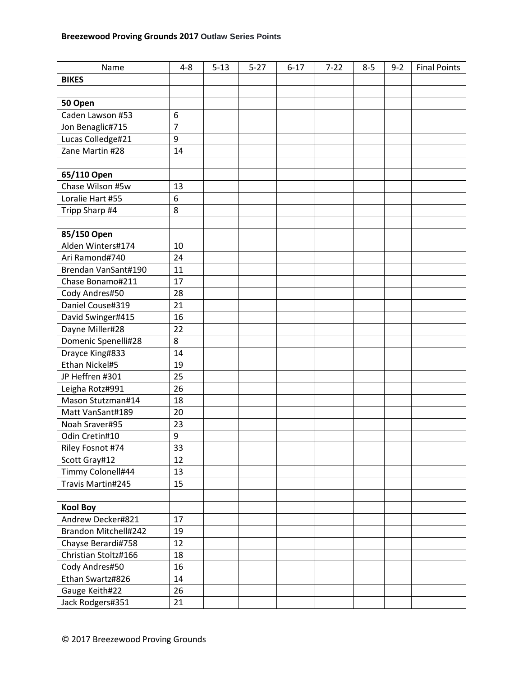| Name                 | $4 - 8$          | $5 - 13$ | $5 - 27$ | $6 - 17$ | $7 - 22$ | $8 - 5$ | $9 - 2$ | <b>Final Points</b> |
|----------------------|------------------|----------|----------|----------|----------|---------|---------|---------------------|
| <b>BIKES</b>         |                  |          |          |          |          |         |         |                     |
|                      |                  |          |          |          |          |         |         |                     |
| 50 Open              |                  |          |          |          |          |         |         |                     |
| Caden Lawson #53     | $\boldsymbol{6}$ |          |          |          |          |         |         |                     |
| Jon Benaglic#715     | $\overline{7}$   |          |          |          |          |         |         |                     |
| Lucas Colledge#21    | 9                |          |          |          |          |         |         |                     |
| Zane Martin #28      | 14               |          |          |          |          |         |         |                     |
|                      |                  |          |          |          |          |         |         |                     |
| 65/110 Open          |                  |          |          |          |          |         |         |                     |
| Chase Wilson #5w     | 13               |          |          |          |          |         |         |                     |
| Loralie Hart #55     | 6                |          |          |          |          |         |         |                     |
| Tripp Sharp #4       | 8                |          |          |          |          |         |         |                     |
|                      |                  |          |          |          |          |         |         |                     |
| 85/150 Open          |                  |          |          |          |          |         |         |                     |
| Alden Winters#174    | 10               |          |          |          |          |         |         |                     |
| Ari Ramond#740       | 24               |          |          |          |          |         |         |                     |
| Brendan VanSant#190  | 11               |          |          |          |          |         |         |                     |
| Chase Bonamo#211     | 17               |          |          |          |          |         |         |                     |
| Cody Andres#50       | 28               |          |          |          |          |         |         |                     |
| Daniel Couse#319     | 21               |          |          |          |          |         |         |                     |
| David Swinger#415    | 16               |          |          |          |          |         |         |                     |
| Dayne Miller#28      | 22               |          |          |          |          |         |         |                     |
| Domenic Spenelli#28  | 8                |          |          |          |          |         |         |                     |
| Drayce King#833      | 14               |          |          |          |          |         |         |                     |
| Ethan Nickel#5       | 19               |          |          |          |          |         |         |                     |
| JP Heffren #301      | 25               |          |          |          |          |         |         |                     |
| Leigha Rotz#991      | 26               |          |          |          |          |         |         |                     |
| Mason Stutzman#14    | 18               |          |          |          |          |         |         |                     |
| Matt VanSant#189     | 20               |          |          |          |          |         |         |                     |
| Noah Sraver#95       | 23               |          |          |          |          |         |         |                     |
| Odin Cretin#10       | 9                |          |          |          |          |         |         |                     |
| Riley Fosnot #74     | 33               |          |          |          |          |         |         |                     |
| Scott Gray#12        | 12               |          |          |          |          |         |         |                     |
| Timmy Colonell#44    | 13               |          |          |          |          |         |         |                     |
| Travis Martin#245    | 15               |          |          |          |          |         |         |                     |
|                      |                  |          |          |          |          |         |         |                     |
| <b>Kool Boy</b>      |                  |          |          |          |          |         |         |                     |
| Andrew Decker#821    | 17               |          |          |          |          |         |         |                     |
| Brandon Mitchell#242 | 19               |          |          |          |          |         |         |                     |
| Chayse Berardi#758   | 12               |          |          |          |          |         |         |                     |
| Christian Stoltz#166 | 18               |          |          |          |          |         |         |                     |
| Cody Andres#50       | 16               |          |          |          |          |         |         |                     |
| Ethan Swartz#826     | 14               |          |          |          |          |         |         |                     |
| Gauge Keith#22       | 26               |          |          |          |          |         |         |                     |
| Jack Rodgers#351     | 21               |          |          |          |          |         |         |                     |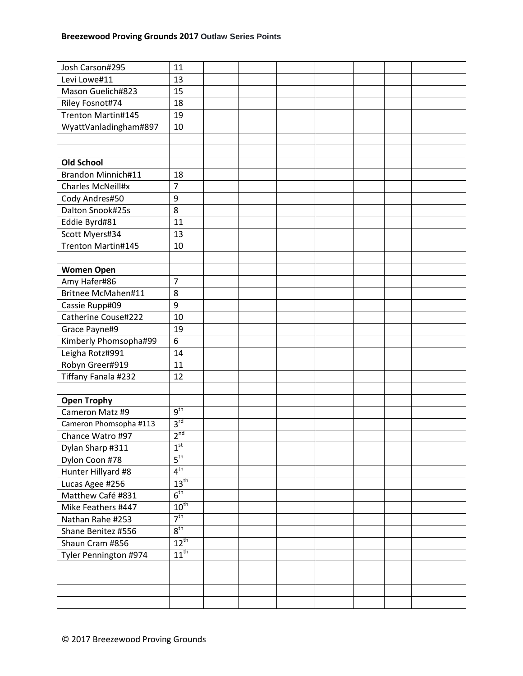## **Breezewood Proving Grounds 2017 Outlaw Series Points**

| Josh Carson#295           | 11               |  |  |  |  |
|---------------------------|------------------|--|--|--|--|
| Levi Lowe#11              | 13               |  |  |  |  |
| Mason Guelich#823         | 15               |  |  |  |  |
| Riley Fosnot#74           | 18               |  |  |  |  |
| Trenton Martin#145        | 19               |  |  |  |  |
| WyattVanladingham#897     | 10               |  |  |  |  |
|                           |                  |  |  |  |  |
|                           |                  |  |  |  |  |
| <b>Old School</b>         |                  |  |  |  |  |
| Brandon Minnich#11        | 18               |  |  |  |  |
| Charles McNeill#x         | $\overline{7}$   |  |  |  |  |
| Cody Andres#50            | 9                |  |  |  |  |
| Dalton Snook#25s          | 8                |  |  |  |  |
| Eddie Byrd#81             | 11               |  |  |  |  |
| Scott Myers#34            | 13               |  |  |  |  |
| Trenton Martin#145        | 10               |  |  |  |  |
|                           |                  |  |  |  |  |
| <b>Women Open</b>         |                  |  |  |  |  |
| Amy Hafer#86              | $\overline{7}$   |  |  |  |  |
| <b>Britnee McMahen#11</b> | 8                |  |  |  |  |
| Cassie Rupp#09            | 9                |  |  |  |  |
| Catherine Couse#222       | 10               |  |  |  |  |
| Grace Payne#9             | 19               |  |  |  |  |
| Kimberly Phomsopha#99     | 6                |  |  |  |  |
| Leigha Rotz#991           | 14               |  |  |  |  |
| Robyn Greer#919           | 11               |  |  |  |  |
| Tiffany Fanala #232       | 12               |  |  |  |  |
|                           |                  |  |  |  |  |
| <b>Open Trophy</b>        |                  |  |  |  |  |
| Cameron Matz #9           | 9 <sup>th</sup>  |  |  |  |  |
| Cameron Phomsopha #113    | 3 <sup>rd</sup>  |  |  |  |  |
| Chance Watro #97          | 2 <sup>nd</sup>  |  |  |  |  |
| Dylan Sharp #311          | 1 <sup>st</sup>  |  |  |  |  |
| Dylon Coon #78            | 5 <sup>th</sup>  |  |  |  |  |
| Hunter Hillyard #8        | 4 <sup>th</sup>  |  |  |  |  |
| Lucas Agee #256           | $13^{th}$        |  |  |  |  |
| Matthew Café #831         | $6^{\text{th}}$  |  |  |  |  |
| Mike Feathers #447        | $10^{\text{th}}$ |  |  |  |  |
| Nathan Rahe #253          | 7 <sup>th</sup>  |  |  |  |  |
| Shane Benitez #556        | 8 <sup>th</sup>  |  |  |  |  |
| Shaun Cram #856           | $12^{th}$        |  |  |  |  |
|                           | $11^{\text{th}}$ |  |  |  |  |
| Tyler Pennington #974     |                  |  |  |  |  |
|                           |                  |  |  |  |  |
|                           |                  |  |  |  |  |
|                           |                  |  |  |  |  |
|                           |                  |  |  |  |  |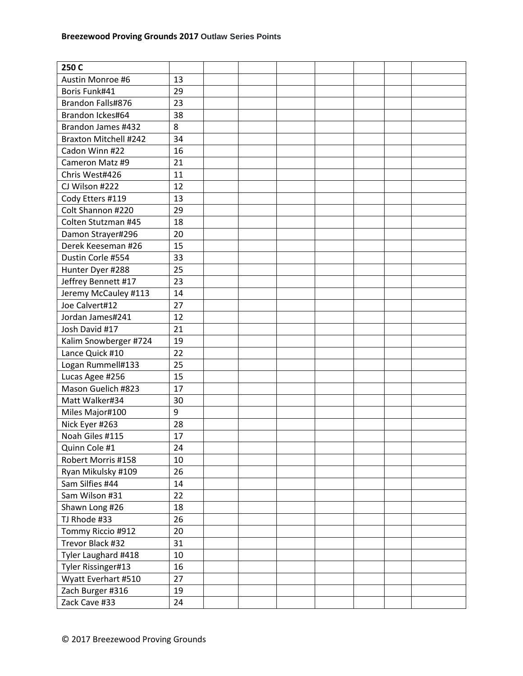| 250 C                        |    |  |  |  |  |
|------------------------------|----|--|--|--|--|
| Austin Monroe #6             | 13 |  |  |  |  |
| Boris Funk#41                | 29 |  |  |  |  |
| Brandon Falls#876            | 23 |  |  |  |  |
| Brandon Ickes#64             | 38 |  |  |  |  |
| Brandon James #432           | 8  |  |  |  |  |
| <b>Braxton Mitchell #242</b> | 34 |  |  |  |  |
| Cadon Winn #22               | 16 |  |  |  |  |
| Cameron Matz #9              | 21 |  |  |  |  |
| Chris West#426               | 11 |  |  |  |  |
| CJ Wilson #222               | 12 |  |  |  |  |
| Cody Etters #119             | 13 |  |  |  |  |
| Colt Shannon #220            | 29 |  |  |  |  |
| Colten Stutzman #45          | 18 |  |  |  |  |
| Damon Strayer#296            | 20 |  |  |  |  |
| Derek Keeseman #26           | 15 |  |  |  |  |
| Dustin Corle #554            | 33 |  |  |  |  |
| Hunter Dyer #288             | 25 |  |  |  |  |
| Jeffrey Bennett #17          | 23 |  |  |  |  |
| Jeremy McCauley #113         | 14 |  |  |  |  |
| Joe Calvert#12               | 27 |  |  |  |  |
| Jordan James#241             | 12 |  |  |  |  |
| Josh David #17               | 21 |  |  |  |  |
| Kalim Snowberger #724        | 19 |  |  |  |  |
| Lance Quick #10              | 22 |  |  |  |  |
| Logan Rummell#133            | 25 |  |  |  |  |
| Lucas Agee #256              | 15 |  |  |  |  |
| Mason Guelich #823           | 17 |  |  |  |  |
| Matt Walker#34               | 30 |  |  |  |  |
| Miles Major#100              | 9  |  |  |  |  |
| Nick Eyer #263               | 28 |  |  |  |  |
| Noah Giles #115              | 17 |  |  |  |  |
| Quinn Cole #1                | 24 |  |  |  |  |
| Robert Morris #158           | 10 |  |  |  |  |
| Ryan Mikulsky #109           | 26 |  |  |  |  |
| Sam Silfies #44              | 14 |  |  |  |  |
| Sam Wilson #31               | 22 |  |  |  |  |
| Shawn Long #26               | 18 |  |  |  |  |
| TJ Rhode #33                 | 26 |  |  |  |  |
| Tommy Riccio #912            | 20 |  |  |  |  |
| Trevor Black #32             | 31 |  |  |  |  |
| Tyler Laughard #418          | 10 |  |  |  |  |
| Tyler Rissinger#13           | 16 |  |  |  |  |
| Wyatt Everhart #510          | 27 |  |  |  |  |
| Zach Burger #316             | 19 |  |  |  |  |
| Zack Cave #33                | 24 |  |  |  |  |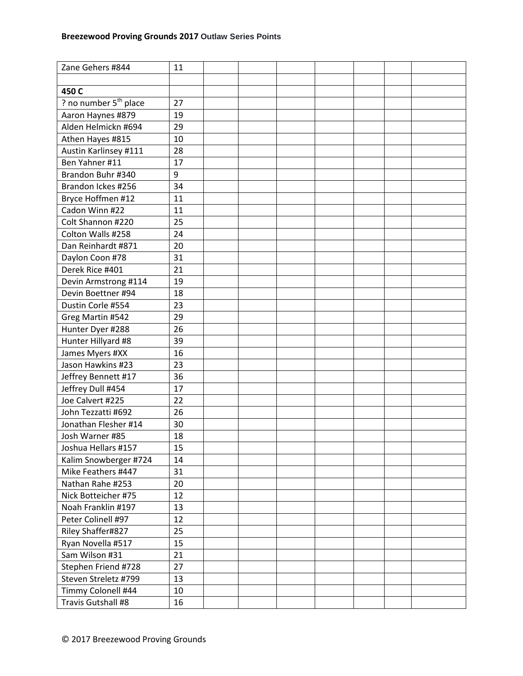| Zane Gehers #844                  | 11 |  |  |  |  |
|-----------------------------------|----|--|--|--|--|
|                                   |    |  |  |  |  |
| 450 C                             |    |  |  |  |  |
| ? no number 5 <sup>th</sup> place | 27 |  |  |  |  |
| Aaron Haynes #879                 | 19 |  |  |  |  |
| Alden Helmickn #694               | 29 |  |  |  |  |
| Athen Hayes #815                  | 10 |  |  |  |  |
| Austin Karlinsey #111             | 28 |  |  |  |  |
| Ben Yahner #11                    | 17 |  |  |  |  |
| Brandon Buhr #340                 | 9  |  |  |  |  |
| Brandon Ickes #256                | 34 |  |  |  |  |
| Bryce Hoffmen #12                 | 11 |  |  |  |  |
| Cadon Winn #22                    | 11 |  |  |  |  |
| Colt Shannon #220                 | 25 |  |  |  |  |
| Colton Walls #258                 | 24 |  |  |  |  |
| Dan Reinhardt #871                | 20 |  |  |  |  |
| Daylon Coon #78                   | 31 |  |  |  |  |
| Derek Rice #401                   | 21 |  |  |  |  |
| Devin Armstrong #114              | 19 |  |  |  |  |
| Devin Boettner #94                | 18 |  |  |  |  |
| Dustin Corle #554                 | 23 |  |  |  |  |
| Greg Martin #542                  | 29 |  |  |  |  |
| Hunter Dyer #288                  | 26 |  |  |  |  |
| Hunter Hillyard #8                | 39 |  |  |  |  |
| James Myers #XX                   | 16 |  |  |  |  |
| Jason Hawkins #23                 | 23 |  |  |  |  |
| Jeffrey Bennett #17               | 36 |  |  |  |  |
| Jeffrey Dull #454                 | 17 |  |  |  |  |
| Joe Calvert #225                  | 22 |  |  |  |  |
| John Tezzatti #692                | 26 |  |  |  |  |
| Jonathan Flesher #14              | 30 |  |  |  |  |
| Josh Warner #85                   | 18 |  |  |  |  |
| Joshua Hellars #157               | 15 |  |  |  |  |
| Kalim Snowberger #724             | 14 |  |  |  |  |
| Mike Feathers #447                | 31 |  |  |  |  |
| Nathan Rahe #253                  | 20 |  |  |  |  |
| Nick Botteicher #75               | 12 |  |  |  |  |
| Noah Franklin #197                | 13 |  |  |  |  |
| Peter Colinell #97                | 12 |  |  |  |  |
| Riley Shaffer#827                 | 25 |  |  |  |  |
| Ryan Novella #517                 | 15 |  |  |  |  |
| Sam Wilson #31                    | 21 |  |  |  |  |
| Stephen Friend #728               | 27 |  |  |  |  |
| Steven Streletz #799              | 13 |  |  |  |  |
| Timmy Colonell #44                | 10 |  |  |  |  |
| Travis Gutshall #8                | 16 |  |  |  |  |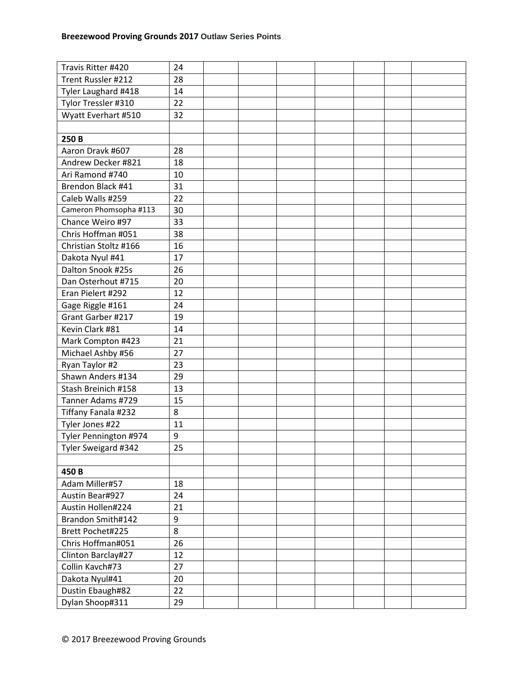| Travis Ritter #420     | 24 |  |  |  |  |
|------------------------|----|--|--|--|--|
| Trent Russler #212     | 28 |  |  |  |  |
| Tyler Laughard #418    | 14 |  |  |  |  |
| Tylor Tressler #310    | 22 |  |  |  |  |
| Wyatt Everhart #510    | 32 |  |  |  |  |
|                        |    |  |  |  |  |
| 250 B                  |    |  |  |  |  |
| Aaron Dravk #607       | 28 |  |  |  |  |
| Andrew Decker #821     | 18 |  |  |  |  |
| Ari Ramond #740        | 10 |  |  |  |  |
| Brendon Black #41      | 31 |  |  |  |  |
| Caleb Walls #259       | 22 |  |  |  |  |
| Cameron Phomsopha #113 | 30 |  |  |  |  |
| Chance Weiro #97       | 33 |  |  |  |  |
| Chris Hoffman #051     | 38 |  |  |  |  |
| Christian Stoltz #166  | 16 |  |  |  |  |
| Dakota Nyul #41        | 17 |  |  |  |  |
| Dalton Snook #25s      | 26 |  |  |  |  |
| Dan Osterhout #715     | 20 |  |  |  |  |
| Eran Pielert #292      | 12 |  |  |  |  |
| Gage Riggle #161       | 24 |  |  |  |  |
| Grant Garber #217      | 19 |  |  |  |  |
| Kevin Clark #81        | 14 |  |  |  |  |
| Mark Compton #423      | 21 |  |  |  |  |
| Michael Ashby #56      | 27 |  |  |  |  |
| Ryan Taylor #2         | 23 |  |  |  |  |
| Shawn Anders #134      | 29 |  |  |  |  |
| Stash Breinich #158    | 13 |  |  |  |  |
| Tanner Adams #729      | 15 |  |  |  |  |
| Tiffany Fanala #232    | 8  |  |  |  |  |
| Tyler Jones #22        | 11 |  |  |  |  |
| Tyler Pennington #974  | 9  |  |  |  |  |
| Tyler Sweigard #342    | 25 |  |  |  |  |
|                        |    |  |  |  |  |
| 450 B                  |    |  |  |  |  |
| Adam Miller#57         | 18 |  |  |  |  |
| Austin Bear#927        | 24 |  |  |  |  |
| Austin Hollen#224      | 21 |  |  |  |  |
| Brandon Smith#142      | 9  |  |  |  |  |
| Brett Pochet#225       | 8  |  |  |  |  |
| Chris Hoffman#051      | 26 |  |  |  |  |
| Clinton Barclay#27     | 12 |  |  |  |  |
| Collin Kavch#73        | 27 |  |  |  |  |
| Dakota Nyul#41         | 20 |  |  |  |  |
| Dustin Ebaugh#82       | 22 |  |  |  |  |
| Dylan Shoop#311        | 29 |  |  |  |  |
|                        |    |  |  |  |  |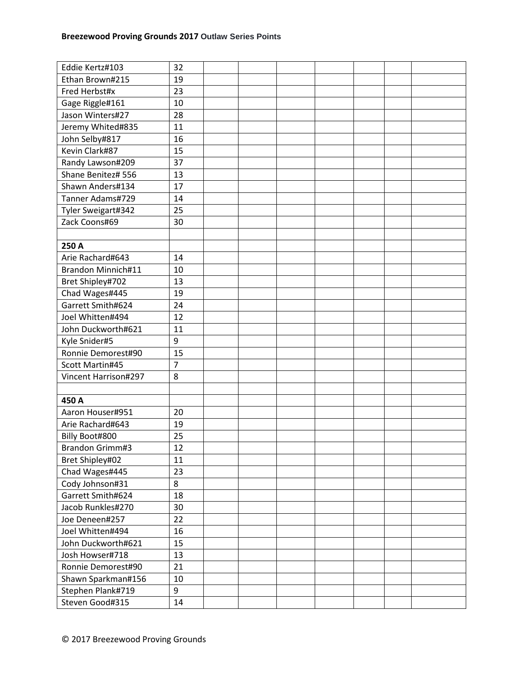| Eddie Kertz#103      | 32             |  |  |  |  |
|----------------------|----------------|--|--|--|--|
| Ethan Brown#215      | 19             |  |  |  |  |
| Fred Herbst#x        | 23             |  |  |  |  |
| Gage Riggle#161      | 10             |  |  |  |  |
| Jason Winters#27     | 28             |  |  |  |  |
| Jeremy Whited#835    | 11             |  |  |  |  |
| John Selby#817       | 16             |  |  |  |  |
| Kevin Clark#87       | 15             |  |  |  |  |
| Randy Lawson#209     | 37             |  |  |  |  |
| Shane Benitez# 556   | 13             |  |  |  |  |
| Shawn Anders#134     | 17             |  |  |  |  |
| Tanner Adams#729     | 14             |  |  |  |  |
| Tyler Sweigart#342   | 25             |  |  |  |  |
| Zack Coons#69        | 30             |  |  |  |  |
|                      |                |  |  |  |  |
| 250 A                |                |  |  |  |  |
| Arie Rachard#643     | 14             |  |  |  |  |
| Brandon Minnich#11   | 10             |  |  |  |  |
| Bret Shipley#702     | 13             |  |  |  |  |
| Chad Wages#445       | 19             |  |  |  |  |
| Garrett Smith#624    | 24             |  |  |  |  |
| Joel Whitten#494     | 12             |  |  |  |  |
| John Duckworth#621   | 11             |  |  |  |  |
| Kyle Snider#5        | 9              |  |  |  |  |
| Ronnie Demorest#90   | 15             |  |  |  |  |
| Scott Martin#45      | $\overline{7}$ |  |  |  |  |
| Vincent Harrison#297 | 8              |  |  |  |  |
|                      |                |  |  |  |  |
| 450 A                |                |  |  |  |  |
| Aaron Houser#951     | 20             |  |  |  |  |
| Arie Rachard#643     | 19             |  |  |  |  |
| Billy Boot#800       | 25             |  |  |  |  |
| Brandon Grimm#3      | 12             |  |  |  |  |
| Bret Shipley#02      | 11             |  |  |  |  |
| Chad Wages#445       | 23             |  |  |  |  |
| Cody Johnson#31      | 8              |  |  |  |  |
| Garrett Smith#624    | 18             |  |  |  |  |
| Jacob Runkles#270    | 30             |  |  |  |  |
| Joe Deneen#257       | 22             |  |  |  |  |
| Joel Whitten#494     | 16             |  |  |  |  |
| John Duckworth#621   | 15             |  |  |  |  |
| Josh Howser#718      | 13             |  |  |  |  |
| Ronnie Demorest#90   | 21             |  |  |  |  |
| Shawn Sparkman#156   | 10             |  |  |  |  |
| Stephen Plank#719    | 9              |  |  |  |  |
| Steven Good#315      | 14             |  |  |  |  |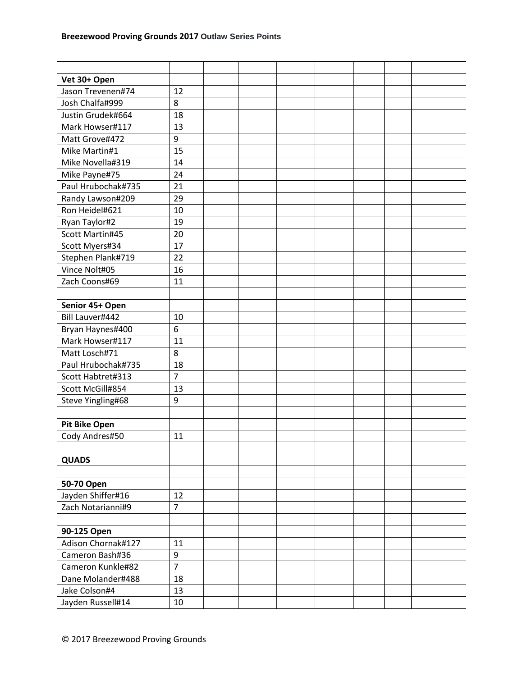| Vet 30+ Open           |                |  |  |  |  |
|------------------------|----------------|--|--|--|--|
| Jason Trevenen#74      | 12             |  |  |  |  |
| Josh Chalfa#999        | 8              |  |  |  |  |
| Justin Grudek#664      | 18             |  |  |  |  |
| Mark Howser#117        | 13             |  |  |  |  |
| Matt Grove#472         | 9              |  |  |  |  |
| Mike Martin#1          | 15             |  |  |  |  |
| Mike Novella#319       | 14             |  |  |  |  |
| Mike Payne#75          | 24             |  |  |  |  |
| Paul Hrubochak#735     | 21             |  |  |  |  |
| Randy Lawson#209       | 29             |  |  |  |  |
| Ron Heidel#621         | 10             |  |  |  |  |
| Ryan Taylor#2          | 19             |  |  |  |  |
| Scott Martin#45        | 20             |  |  |  |  |
| Scott Myers#34         | 17             |  |  |  |  |
| Stephen Plank#719      | 22             |  |  |  |  |
| Vince Nolt#05          | 16             |  |  |  |  |
| Zach Coons#69          | 11             |  |  |  |  |
|                        |                |  |  |  |  |
| Senior 45+ Open        |                |  |  |  |  |
| <b>Bill Lauver#442</b> | 10             |  |  |  |  |
| Bryan Haynes#400       | 6              |  |  |  |  |
| Mark Howser#117        | 11             |  |  |  |  |
| Matt Losch#71          | 8              |  |  |  |  |
| Paul Hrubochak#735     | 18             |  |  |  |  |
| Scott Habtret#313      | $\overline{7}$ |  |  |  |  |
| Scott McGill#854       | 13             |  |  |  |  |
| Steve Yingling#68      | 9              |  |  |  |  |
|                        |                |  |  |  |  |
| <b>Pit Bike Open</b>   |                |  |  |  |  |
| Cody Andres#50         | 11             |  |  |  |  |
|                        |                |  |  |  |  |
| <b>QUADS</b>           |                |  |  |  |  |
|                        |                |  |  |  |  |
| 50-70 Open             |                |  |  |  |  |
| Jayden Shiffer#16      | 12             |  |  |  |  |
| Zach Notarianni#9      | $\overline{7}$ |  |  |  |  |
|                        |                |  |  |  |  |
| 90-125 Open            |                |  |  |  |  |
| Adison Chornak#127     | 11             |  |  |  |  |
| Cameron Bash#36        | 9              |  |  |  |  |
| Cameron Kunkle#82      | $\overline{7}$ |  |  |  |  |
| Dane Molander#488      | 18             |  |  |  |  |
| Jake Colson#4          | 13             |  |  |  |  |
| Jayden Russell#14      | 10             |  |  |  |  |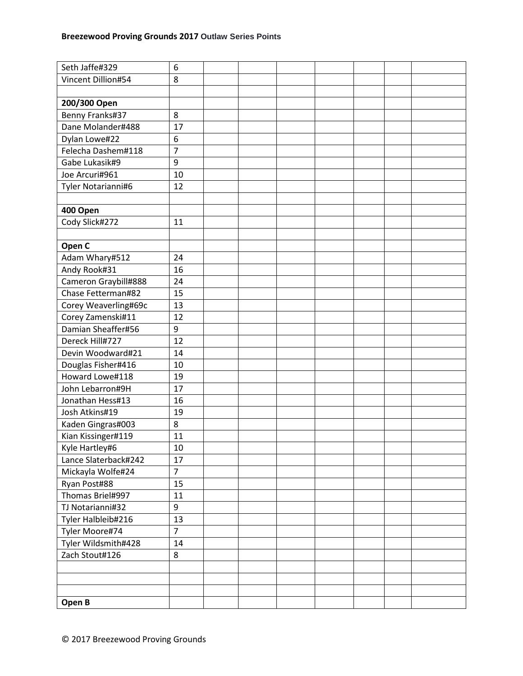| Seth Jaffe#329       | 6              |  |  |  |  |
|----------------------|----------------|--|--|--|--|
| Vincent Dillion#54   | 8              |  |  |  |  |
|                      |                |  |  |  |  |
| 200/300 Open         |                |  |  |  |  |
| Benny Franks#37      | 8              |  |  |  |  |
| Dane Molander#488    | 17             |  |  |  |  |
| Dylan Lowe#22        | 6              |  |  |  |  |
| Felecha Dashem#118   | $\overline{7}$ |  |  |  |  |
| Gabe Lukasik#9       | 9              |  |  |  |  |
| Joe Arcuri#961       | 10             |  |  |  |  |
| Tyler Notarianni#6   | 12             |  |  |  |  |
|                      |                |  |  |  |  |
| 400 Open             |                |  |  |  |  |
| Cody Slick#272       | 11             |  |  |  |  |
|                      |                |  |  |  |  |
| Open C               |                |  |  |  |  |
| Adam Whary#512       | 24             |  |  |  |  |
| Andy Rook#31         | 16             |  |  |  |  |
| Cameron Graybill#888 | 24             |  |  |  |  |
| Chase Fetterman#82   | 15             |  |  |  |  |
| Corey Weaverling#69c | 13             |  |  |  |  |
| Corey Zamenski#11    | 12             |  |  |  |  |
| Damian Sheaffer#56   | 9              |  |  |  |  |
| Dereck Hill#727      | 12             |  |  |  |  |
| Devin Woodward#21    | 14             |  |  |  |  |
| Douglas Fisher#416   | 10             |  |  |  |  |
| Howard Lowe#118      | 19             |  |  |  |  |
| John Lebarron#9H     | 17             |  |  |  |  |
| Jonathan Hess#13     | 16             |  |  |  |  |
| Josh Atkins#19       | 19             |  |  |  |  |
| Kaden Gingras#003    | 8              |  |  |  |  |
| Kian Kissinger#119   | 11             |  |  |  |  |
| Kyle Hartley#6       | 10             |  |  |  |  |
| Lance Slaterback#242 | 17             |  |  |  |  |
| Mickayla Wolfe#24    | $\overline{7}$ |  |  |  |  |
| Ryan Post#88         | 15             |  |  |  |  |
| Thomas Briel#997     | 11             |  |  |  |  |
| TJ Notarianni#32     | 9              |  |  |  |  |
| Tyler Halbleib#216   | 13             |  |  |  |  |
| Tyler Moore#74       | $\overline{7}$ |  |  |  |  |
| Tyler Wildsmith#428  | 14             |  |  |  |  |
| Zach Stout#126       | 8              |  |  |  |  |
|                      |                |  |  |  |  |
|                      |                |  |  |  |  |
|                      |                |  |  |  |  |
| Open B               |                |  |  |  |  |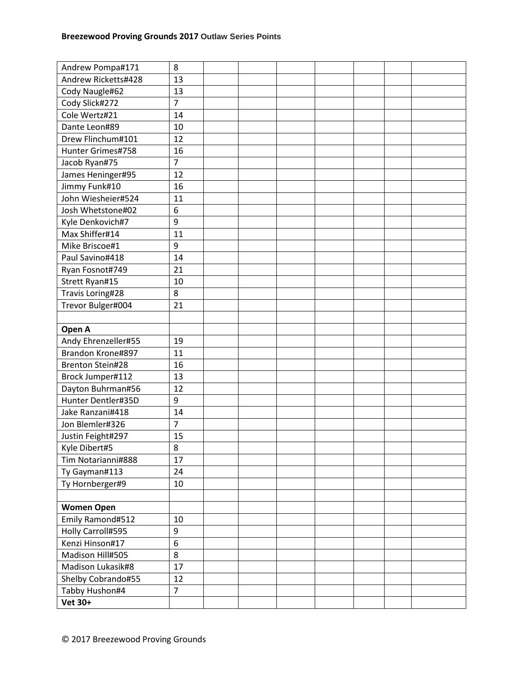| Andrew Pompa#171        | 8                |  |  |  |  |
|-------------------------|------------------|--|--|--|--|
| Andrew Ricketts#428     | 13               |  |  |  |  |
| Cody Naugle#62          | 13               |  |  |  |  |
| Cody Slick#272          | $\overline{7}$   |  |  |  |  |
| Cole Wertz#21           | 14               |  |  |  |  |
| Dante Leon#89           | 10               |  |  |  |  |
| Drew Flinchum#101       | 12               |  |  |  |  |
| Hunter Grimes#758       | 16               |  |  |  |  |
| Jacob Ryan#75           | $\overline{7}$   |  |  |  |  |
| James Heninger#95       | 12               |  |  |  |  |
| Jimmy Funk#10           | 16               |  |  |  |  |
| John Wiesheier#524      | 11               |  |  |  |  |
| Josh Whetstone#02       | 6                |  |  |  |  |
| Kyle Denkovich#7        | 9                |  |  |  |  |
| Max Shiffer#14          | 11               |  |  |  |  |
| Mike Briscoe#1          | 9                |  |  |  |  |
| Paul Savino#418         | 14               |  |  |  |  |
| Ryan Fosnot#749         | 21               |  |  |  |  |
| Strett Ryan#15          | 10               |  |  |  |  |
| Travis Loring#28        | 8                |  |  |  |  |
| Trevor Bulger#004       | 21               |  |  |  |  |
|                         |                  |  |  |  |  |
| Open A                  |                  |  |  |  |  |
| Andy Ehrenzeller#55     | 19               |  |  |  |  |
| Brandon Krone#897       | 11               |  |  |  |  |
| <b>Brenton Stein#28</b> | 16               |  |  |  |  |
| Brock Jumper#112        | 13               |  |  |  |  |
| Dayton Buhrman#56       | 12               |  |  |  |  |
| Hunter Dentler#35D      | 9                |  |  |  |  |
| Jake Ranzani#418        | 14               |  |  |  |  |
| Jon Blemler#326         | $\overline{7}$   |  |  |  |  |
| Justin Feight#297       | 15               |  |  |  |  |
| Kyle Dibert#5           | 8                |  |  |  |  |
| Tim Notarianni#888      | 17               |  |  |  |  |
| Ty Gayman#113           | 24               |  |  |  |  |
| Ty Hornberger#9         | 10               |  |  |  |  |
|                         |                  |  |  |  |  |
| <b>Women Open</b>       |                  |  |  |  |  |
| Emily Ramond#512        | 10               |  |  |  |  |
| Holly Carroll#595       | 9                |  |  |  |  |
| Kenzi Hinson#17         | $\boldsymbol{6}$ |  |  |  |  |
| Madison Hill#505        | 8                |  |  |  |  |
| Madison Lukasik#8       | 17               |  |  |  |  |
| Shelby Cobrando#55      | 12               |  |  |  |  |
| Tabby Hushon#4          | $\overline{7}$   |  |  |  |  |
| <b>Vet 30+</b>          |                  |  |  |  |  |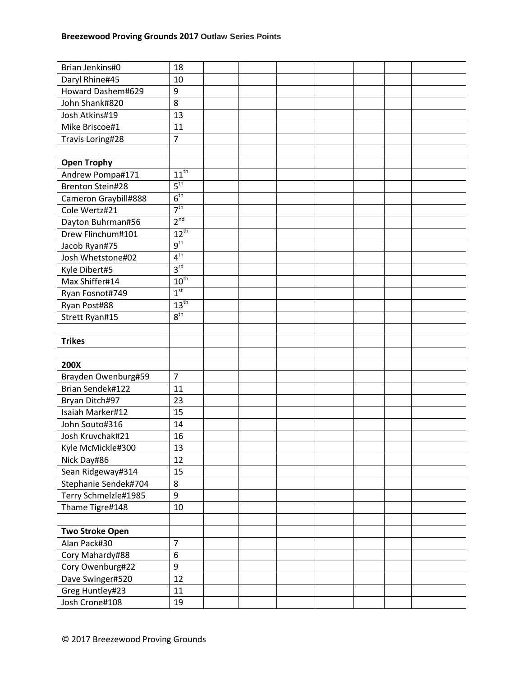## **Breezewood Proving Grounds 2017 Outlaw Series Points**

| Brian Jenkins#0                   | 18              |  |  |  |  |
|-----------------------------------|-----------------|--|--|--|--|
| Daryl Rhine#45                    | 10              |  |  |  |  |
| Howard Dashem#629                 | 9               |  |  |  |  |
| John Shank#820                    | 8               |  |  |  |  |
| Josh Atkins#19                    | 13              |  |  |  |  |
| Mike Briscoe#1                    | 11              |  |  |  |  |
| Travis Loring#28                  | $\overline{7}$  |  |  |  |  |
|                                   |                 |  |  |  |  |
| <b>Open Trophy</b>                |                 |  |  |  |  |
| Andrew Pompa#171                  | $11^{th}$       |  |  |  |  |
| <b>Brenton Stein#28</b>           | 5 <sup>th</sup> |  |  |  |  |
| Cameron Graybill#888              | 6 <sup>th</sup> |  |  |  |  |
| Cole Wertz#21                     | 7 <sup>th</sup> |  |  |  |  |
| Dayton Buhrman#56                 | 2 <sup>nd</sup> |  |  |  |  |
| Drew Flinchum#101                 | $12^{th}$       |  |  |  |  |
| Jacob Ryan#75                     | 9 <sup>th</sup> |  |  |  |  |
| Josh Whetstone#02                 | 4 <sup>th</sup> |  |  |  |  |
| Kyle Dibert#5                     | 3 <sup>rd</sup> |  |  |  |  |
| Max Shiffer#14                    | $10^{th}$       |  |  |  |  |
| Ryan Fosnot#749                   | 1 <sup>st</sup> |  |  |  |  |
| Ryan Post#88                      | $13^{th}$       |  |  |  |  |
| Strett Ryan#15                    | 8 <sup>th</sup> |  |  |  |  |
|                                   |                 |  |  |  |  |
|                                   |                 |  |  |  |  |
|                                   |                 |  |  |  |  |
| <b>Trikes</b>                     |                 |  |  |  |  |
| 200X                              |                 |  |  |  |  |
|                                   | $\overline{7}$  |  |  |  |  |
| Brayden Owenburg#59               | 11              |  |  |  |  |
| Brian Sendek#122                  |                 |  |  |  |  |
| Bryan Ditch#97                    | 23              |  |  |  |  |
| Isaiah Marker#12                  | 15              |  |  |  |  |
| John Souto#316                    | 14              |  |  |  |  |
| Josh Kruvchak#21                  | 16              |  |  |  |  |
| Kyle McMickle#300                 | 13              |  |  |  |  |
| Nick Day#86                       | 12              |  |  |  |  |
| Sean Ridgeway#314                 | 15              |  |  |  |  |
| Stephanie Sendek#704              | 8               |  |  |  |  |
| Terry Schmelzle#1985              | 9               |  |  |  |  |
| Thame Tigre#148                   | 10              |  |  |  |  |
|                                   |                 |  |  |  |  |
| <b>Two Stroke Open</b>            |                 |  |  |  |  |
| Alan Pack#30                      | $\overline{7}$  |  |  |  |  |
| Cory Mahardy#88                   | 6               |  |  |  |  |
| Cory Owenburg#22                  | 9               |  |  |  |  |
| Dave Swinger#520                  | 12              |  |  |  |  |
| Greg Huntley#23<br>Josh Crone#108 | 11<br>19        |  |  |  |  |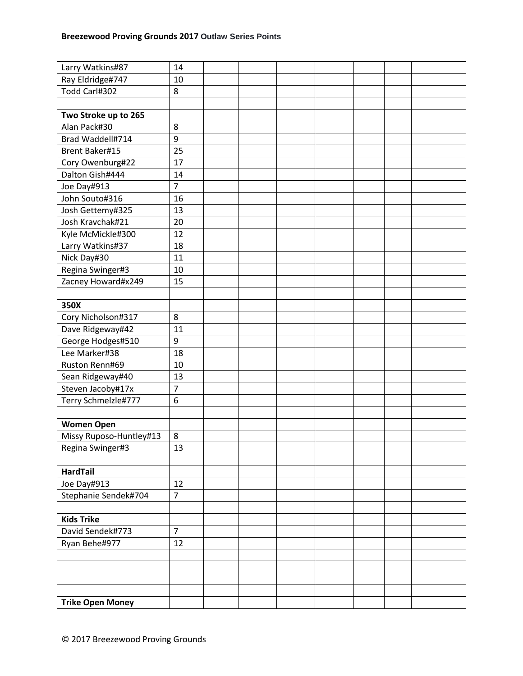| Larry Watkins#87        | 14             |  |  |  |  |
|-------------------------|----------------|--|--|--|--|
| Ray Eldridge#747        | 10             |  |  |  |  |
| Todd Carl#302           | 8              |  |  |  |  |
|                         |                |  |  |  |  |
| Two Stroke up to 265    |                |  |  |  |  |
| Alan Pack#30            | 8              |  |  |  |  |
| Brad Waddell#714        | 9              |  |  |  |  |
| Brent Baker#15          | 25             |  |  |  |  |
| Cory Owenburg#22        | 17             |  |  |  |  |
| Dalton Gish#444         | 14             |  |  |  |  |
| Joe Day#913             | $\overline{7}$ |  |  |  |  |
| John Souto#316          | 16             |  |  |  |  |
| Josh Gettemy#325        | 13             |  |  |  |  |
| Josh Kravchak#21        | 20             |  |  |  |  |
| Kyle McMickle#300       | 12             |  |  |  |  |
| Larry Watkins#37        | 18             |  |  |  |  |
| Nick Day#30             | 11             |  |  |  |  |
| Regina Swinger#3        | 10             |  |  |  |  |
| Zacney Howard#x249      | 15             |  |  |  |  |
|                         |                |  |  |  |  |
| 350X                    |                |  |  |  |  |
| Cory Nicholson#317      | 8              |  |  |  |  |
| Dave Ridgeway#42        | 11             |  |  |  |  |
| George Hodges#510       | 9              |  |  |  |  |
| Lee Marker#38           | 18             |  |  |  |  |
| Ruston Renn#69          | 10             |  |  |  |  |
| Sean Ridgeway#40        | 13             |  |  |  |  |
| Steven Jacoby#17x       | $\overline{7}$ |  |  |  |  |
| Terry Schmelzle#777     | 6              |  |  |  |  |
|                         |                |  |  |  |  |
| <b>Women Open</b>       |                |  |  |  |  |
| Missy Ruposo-Huntley#13 | 8              |  |  |  |  |
| Regina Swinger#3        | 13             |  |  |  |  |
|                         |                |  |  |  |  |
| <b>HardTail</b>         |                |  |  |  |  |
| Joe Day#913             | 12             |  |  |  |  |
| Stephanie Sendek#704    | $\overline{7}$ |  |  |  |  |
|                         |                |  |  |  |  |
| <b>Kids Trike</b>       |                |  |  |  |  |
| David Sendek#773        | $\overline{7}$ |  |  |  |  |
| Ryan Behe#977           | 12             |  |  |  |  |
|                         |                |  |  |  |  |
|                         |                |  |  |  |  |
|                         |                |  |  |  |  |
|                         |                |  |  |  |  |
| <b>Trike Open Money</b> |                |  |  |  |  |